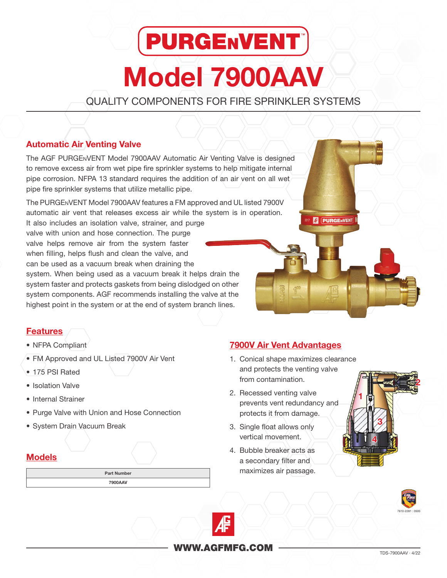# **PURGENVENT** Model 7900AAV

QUALITY COMPONENTS FOR FIRE SPRINKLER SYSTEMS

## Automatic Air Venting Valve

**Features** 

Models

• NFPA Compliant

• 175 PSI Rated • Isolation Valve • Internal Strainer

• FM Approved and UL Listed 7900V Air Vent

• Purge Valve with Union and Hose Connection

Part Number 7900AAV

• System Drain Vacuum Break

The AGF PURGEnVENT Model 7900AAV Automatic Air Venting Valve is designed to remove excess air from wet pipe fire sprinkler systems to help mitigate internal pipe corrosion. NFPA 13 standard requires the addition of an air vent on all wet pipe fire sprinkler systems that utilize metallic pipe.

The PURGEnVENT Model 7900AAV features a FM approved and UL listed 7900V automatic air vent that releases excess air while the system is in operation.

It also includes an isolation valve, strainer, and purge valve with union and hose connection. The purge valve helps remove air from the system faster when filling, helps flush and clean the valve, and can be used as a vacuum break when draining the system. When being used as a vacuum break it helps drain the system faster and protects gaskets from being dislodged on other system components. AGF recommends installing the valve at the highest point in the system or at the end of system branch lines.

## 7900V Air Vent Advantages

1. Conical shape maximizes clearance and protects the venting valve from contamination.

**PURGENVENT** 

- 2. Recessed venting valve prevents vent redundancy and protects it from damage.
- 3. Single float allows only vertical movement.
- 4. Bubble breaker acts as a secondary filter and maximizes air passage.